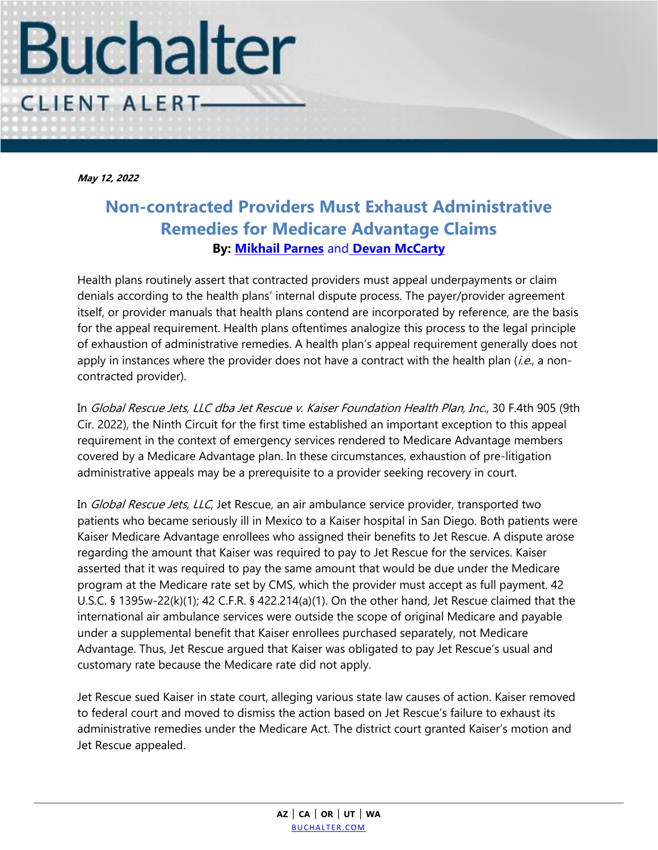

**May 12, 2022**

## **Non-contracted Providers Must Exhaust Administrative Remedies for Medicare Advantage Claims By: [Mikhail Parnes](https://www.buchalter.com/attorneys/mikhail-parnes/#bio)** and **[Devan McCarty](https://www.buchalter.com/attorneys/devan-mccarty/#bio)**

Health plans routinely assert that contracted providers must appeal underpayments or claim denials according to the health plans' internal dispute process. The payer/provider agreement itself, or provider manuals that health plans contend are incorporated by reference, are the basis for the appeal requirement. Health plans oftentimes analogize this process to the legal principle of exhaustion of administrative remedies. A health plan's appeal requirement generally does not apply in instances where the provider does not have a contract with the health plan (*i.e.*, a noncontracted provider).

In Global Rescue Jets, LLC dba Jet Rescue v. Kaiser Foundation Health Plan, Inc., 30 F.4th 905 (9th Cir. 2022), the Ninth Circuit for the first time established an important exception to this appeal requirement in the context of emergency services rendered to Medicare Advantage members covered by a Medicare Advantage plan. In these circumstances, exhaustion of pre-litigation administrative appeals may be a prerequisite to a provider seeking recovery in court.

In *Global Rescue Jets, LLC*, Jet Rescue, an air ambulance service provider, transported two patients who became seriously ill in Mexico to a Kaiser hospital in San Diego. Both patients were Kaiser Medicare Advantage enrollees who assigned their benefits to Jet Rescue. A dispute arose regarding the amount that Kaiser was required to pay to Jet Rescue for the services. Kaiser asserted that it was required to pay the same amount that would be due under the Medicare program at the Medicare rate set by CMS, which the provider must accept as full payment. 42 U.S.C. § 1395w-22(k)(1); 42 C.F.R. § 422.214(a)(1). On the other hand, Jet Rescue claimed that the international air ambulance services were outside the scope of original Medicare and payable under a supplemental benefit that Kaiser enrollees purchased separately, not Medicare Advantage. Thus, Jet Rescue argued that Kaiser was obligated to pay Jet Rescue's usual and customary rate because the Medicare rate did not apply.

Jet Rescue sued Kaiser in state court, alleging various state law causes of action. Kaiser removed to federal court and moved to dismiss the action based on Jet Rescue's failure to exhaust its administrative remedies under the Medicare Act. The district court granted Kaiser's motion and Jet Rescue appealed.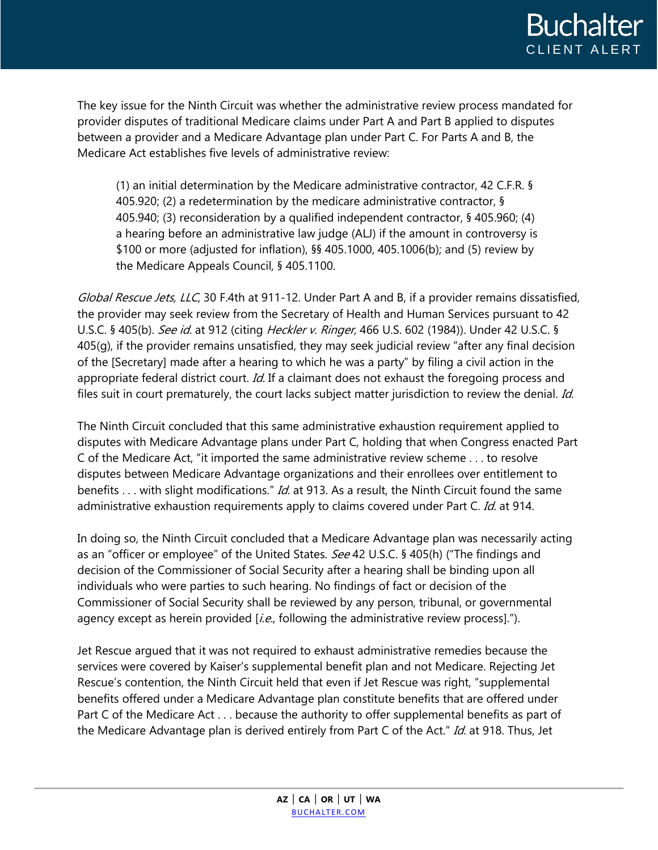

The key issue for the Ninth Circuit was whether the administrative review process mandated for provider disputes of traditional Medicare claims under Part A and Part B applied to disputes between a provider and a Medicare Advantage plan under Part C. For Parts A and B, the Medicare Act establishes five levels of administrative review:

(1) an initial determination by the Medicare administrative contractor, 42 C.F.R. § 405.920; (2) a redetermination by the medicare administrative contractor, § 405.940; (3) reconsideration by a qualified independent contractor, § 405.960; (4) a hearing before an administrative law judge (ALJ) if the amount in controversy is \$100 or more (adjusted for inflation), §§ 405.1000, 405.1006(b); and (5) review by the Medicare Appeals Council, § 405.1100.

Global Rescue Jets, LLC, 30 F.4th at 911-12. Under Part A and B, if a provider remains dissatisfied, the provider may seek review from the Secretary of Health and Human Services pursuant to 42 U.S.C. § 405(b). See id. at 912 (citing Heckler v. Ringer, 466 U.S. 602 (1984)). Under 42 U.S.C. § 405(g), if the provider remains unsatisfied, they may seek judicial review "after any final decision of the [Secretary] made after a hearing to which he was a party" by filing a civil action in the appropriate federal district court. Id. If a claimant does not exhaust the foregoing process and files suit in court prematurely, the court lacks subject matter jurisdiction to review the denial. Id.

The Ninth Circuit concluded that this same administrative exhaustion requirement applied to disputes with Medicare Advantage plans under Part C, holding that when Congress enacted Part C of the Medicare Act, "it imported the same administrative review scheme . . . to resolve disputes between Medicare Advantage organizations and their enrollees over entitlement to benefits . . . with slight modifications." Id. at 913. As a result, the Ninth Circuit found the same administrative exhaustion requirements apply to claims covered under Part C. Id. at 914.

In doing so, the Ninth Circuit concluded that a Medicare Advantage plan was necessarily acting as an "officer or employee" of the United States. See 42 U.S.C. § 405(h) ("The findings and decision of the Commissioner of Social Security after a hearing shall be binding upon all individuals who were parties to such hearing. No findings of fact or decision of the Commissioner of Social Security shall be reviewed by any person, tribunal, or governmental agency except as herein provided [*i.e.*, following the administrative review process].").

Jet Rescue argued that it was not required to exhaust administrative remedies because the services were covered by Kaiser's supplemental benefit plan and not Medicare. Rejecting Jet Rescue's contention, the Ninth Circuit held that even if Jet Rescue was right, "supplemental benefits offered under a Medicare Advantage plan constitute benefits that are offered under Part C of the Medicare Act . . . because the authority to offer supplemental benefits as part of the Medicare Advantage plan is derived entirely from Part C of the Act." Id. at 918. Thus, Jet